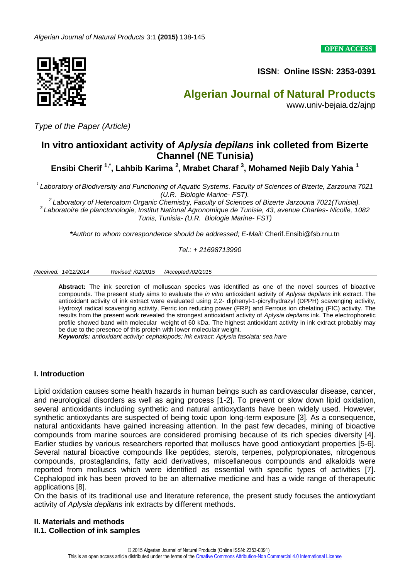**OPEN ACCESS**



**ISSN**: **Online ISSN: 2353-0391** 

# **Algerian Journal of Natural Products** www.univ-bejaia.dz/ajnp

*Type of the Paper (Article)*

# **In vitro antioxidant activity of** *Aplysia depilans* **ink colleted from Bizerte Channel (NE Tunisia)**

**Ensibi Cherif 1,\* , Lahbib Karima <sup>2</sup> , Mrabet Charaf <sup>3</sup> , Mohamed Nejib Daly Yahia <sup>1</sup>**

*1 Laboratory of Biodiversity and Functioning of Aquatic Systems. Faculty of Sciences of Bizerte, Zarzouna 7021 (U.R. Biologie Marine- FST).*

*2 Laboratory of Heteroatom Organic Chemistry, Faculty of Sciences of Bizerte Jarzouna 7021(Tunisia). 3 Laboratoire de planctonologie, Institut National Agronomique de Tunisie, 43, avenue Charles- Nicolle, 1082 Tunis, Tunisia- (U.R. Biologie Marine- FST)*

*\*Author to whom correspondence should be addressed; E-Mail:* Cherif.Ensibi@fsb.rnu.tn

*Tel.: + 21698713990* 

*Received: 14/12/2014 Revised: /02/2015 /Accepted:/02/2015*

**Abstract:** The ink secretion of molluscan species was identified as one of the novel sources of bioactive compounds. The present study aims to evaluate the *in vitro* antioxidant activity of *Aplysia depilans* ink extract. The antioxidant activity of ink extract were evaluated using 2,2- diphenyl-1-picrylhydrazyl (DPPH) scavenging activity, Hydroxyl radical scavenging activity, Ferric ion reducing power (FRP) and Ferrous ion chelating (FIC) activity. The results from the present work revealed the strongest antioxidant activity of *Aplysia depilans* ink. The electrophoretic profile showed band with molecular weight of 60 kDa. The highest antioxidant activity in ink extract probably may be due to the presence of this protein with lower moleculair weight.

*Keywords: antioxidant activity; cephalopods; ink extract; Aplysia fasciata; sea hare*

#### **I. Introduction**

Lipid oxidation causes some health hazards in human beings such as cardiovascular disease, cancer, and neurological disorders as well as aging process [1-2]. To prevent or slow down lipid oxidation, several antioxidants including synthetic and natural antioxydants have been widely used. However, synthetic antioxydants are suspected of being toxic upon long-term exposure [3]. As a consequence, natural antioxidants have gained increasing attention. In the past few decades, mining of bioactive compounds from marine sources are considered promising because of its rich species diversity [4]. Earlier studies by various researchers reported that molluscs have good antioxydant properties [5-6]. Several natural bioactive compounds like peptides, sterols, terpenes, polypropionates, nitrogenous compounds, prostaglandins, fatty acid derivatives, miscellaneous compounds and alkaloids were reported from molluscs which were identified as essential with specific types of activities [7]. Cephalopod ink has been proved to be an alternative medicine and has a wide range of therapeutic applications [8].

On the basis of its traditional use and literature reference, the present study focuses the antioxydant activity of *Aplysia depilans* ink extracts by different methods.

### **II. Materials and methods II.1. Collection of ink samples**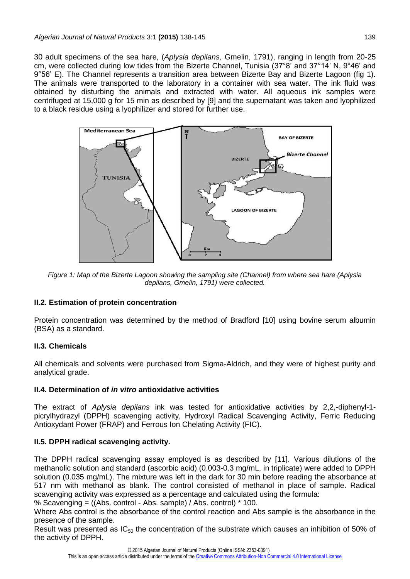30 adult specimens of the sea hare, (*Aplysia depilans,* Gmelin, 1791), ranging in length from 20-25 cm, were collected during low tides from the Bizerte Channel, Tunisia (37°8' and 37°14' N, 9°46' and 9°56' E). The Channel represents a transition area between Bizerte Bay and Bizerte Lagoon (fig 1). The animals were transported to the laboratory in a container with sea water. The ink fluid was obtained by disturbing the animals and extracted with water. All aqueous ink samples were centrifuged at 15,000 g for 15 min as described by [9] and the supernatant was taken and lyophilized to a black residue using a lyophilizer and stored for further use.



*Figure 1: Map of the Bizerte Lagoon showing the sampling site (Channel) from where sea hare (Aplysia depilans, Gmelin, 1791) were collected.*

## **II.2. Estimation of protein concentration**

Protein concentration was determined by the method of Bradford [10] using bovine serum albumin (BSA) as a standard.

## **II.3. Chemicals**

All chemicals and solvents were purchased from Sigma-Aldrich, and they were of highest purity and analytical grade.

## **II.4. Determination of** *in vitro* **antioxidative activities**

The extract of *Aplysia depilans* ink was tested for antioxidative activities by 2,2,-diphenyl-1 picrylhydrazyl (DPPH) scavenging activity, Hydroxyl Radical Scavenging Activity, Ferric Reducing Antioxydant Power (FRAP) and Ferrous Ion Chelating Activity (FIC).

## **II.5. DPPH radical scavenging activity.**

The DPPH radical scavenging assay employed is as described by [11]. Various dilutions of the methanolic solution and standard (ascorbic acid) (0.003-0.3 mg/mL, in triplicate) were added to DPPH solution (0.035 mg/mL). The mixture was left in the dark for 30 min before reading the absorbance at 517 nm with methanol as blank. The control consisted of methanol in place of sample. Radical scavenging activity was expressed as a percentage and calculated using the formula:

% Scavenging = ((Abs. control - Abs. sample) / Abs. control) \* 100.

Where Abs control is the absorbance of the control reaction and Abs sample is the absorbance in the presence of the sample.

Result was presented as  $IC_{50}$  the concentration of the substrate which causes an inhibition of 50% of the activity of DPPH.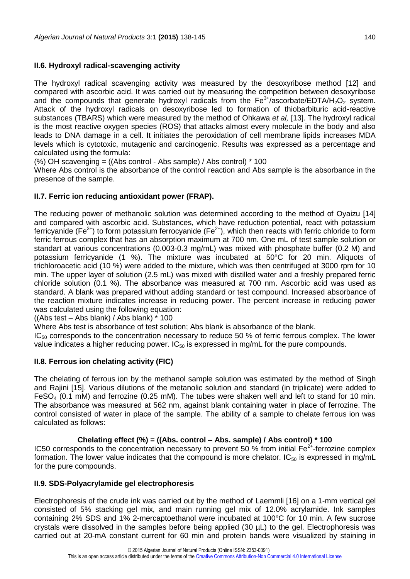### **II.6. Hydroxyl radical-scavenging activity**

The hydroxyl radical scavenging activity was measured by the desoxyribose method [12] and compared with ascorbic acid. It was carried out by measuring the competition between desoxyribose and the compounds that generate hydroxyl radicals from the  $Fe^{3+}/$ ascorbate/EDTA/H<sub>2</sub>O<sub>2</sub> system. Attack of the hydroxyl radicals on desoxyribose led to formation of thiobarbituric acid-reactive substances (TBARS) which were measured by the method of Ohkawa *et al,* [13]. The hydroxyl radical is the most reactive oxygen species (ROS) that attacks almost every molecule in the body and also leads to DNA damage in a cell. It initiates the peroxidation of cell membrane lipids increases MDA levels which is cytotoxic, mutagenic and carcinogenic. Results was expressed as a percentage and calculated using the formula:

(%) OH scavenging = ((Abs control - Abs sample) / Abs control) \* 100

Where Abs control is the absorbance of the control reaction and Abs sample is the absorbance in the presence of the sample.

### **II.7. Ferric ion reducing antioxidant power (FRAP).**

The reducing power of methanolic solution was determined according to the method of Oyaizu [14] and compared with ascorbic acid. Substances, which have reduction potential, react with potassium ferricyanide (Fe<sup>3+</sup>) to form potassium ferrocyanide (Fe<sup>2+</sup>), which then reacts with ferric chloride to form ferric ferrous complex that has an absorption maximum at 700 nm. One mL of test sample solution or standart at various concentrations (0.003-0.3 mg/mL) was mixed with phosphate buffer (0.2 M) and potassium ferricyanide (1 %). The mixture was incubated at 50°C for 20 min. Aliquots of trichloroacetic acid (10 %) were added to the mixture, which was then centrifuged at 3000 rpm for 10 min. The upper layer of solution (2.5 mL) was mixed with distilled water and a freshly prepared ferric chloride solution (0.1 %). The absorbance was measured at 700 nm. Ascorbic acid was used as standard. A blank was prepared without adding standard or test compound. Increased absorbance of the reaction mixture indicates increase in reducing power. The percent increase in reducing power was calculated using the following equation:

((Abs test – Abs blank) / Abs blank) \* 100

Where Abs test is absorbance of test solution; Abs blank is absorbance of the blank.

 $IC<sub>50</sub>$  corresponds to the concentration necessary to reduce 50 % of ferric ferrous complex. The lower value indicates a higher reducing power.  $IC_{50}$  is expressed in mg/mL for the pure compounds.

## **II.8. Ferrous ion chelating activity (FIC)**

The chelating of ferrous ion by the methanol sample solution was estimated by the method of Singh and Rajini [15]. Various dilutions of the metanolic solution and standard (in triplicate) were added to  $FesO<sub>4</sub>$  (0.1 mM) and ferrozine (0.25 mM). The tubes were shaken well and left to stand for 10 min. The absorbance was measured at 562 nm, against blank containing water in place of ferrozine. The control consisted of water in place of the sample. The ability of a sample to chelate ferrous ion was calculated as follows:

## **Chelating effect (%) = ((Abs. control – Abs. sample) / Abs control) \* 100**

IC50 corresponds to the concentration necessary to prevent 50 % from initial Fe<sup>2+</sup>-ferrozine complex formation. The lower value indicates that the compound is more chelator. IC $_{50}$  is expressed in mg/mL for the pure compounds.

#### **II.9. SDS-Polyacrylamide gel electrophoresis**

Electrophoresis of the crude ink was carried out by the method of Laemmli [16] on a 1-mm vertical gel consisted of 5% stacking gel mix, and main running gel mix of 12.0% acrylamide. Ink samples containing 2% SDS and 1% 2-mercaptoethanol were incubated at 100°C for 10 min. A few sucrose crystals were dissolved in the samples before being applied (30 µL) to the gel. Electrophoresis was carried out at 20-mA constant current for 60 min and protein bands were visualized by staining in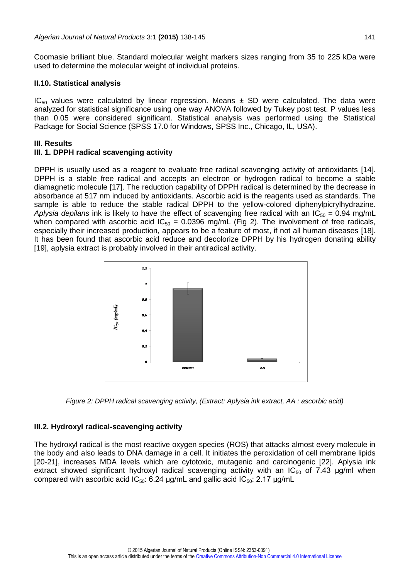Coomasie brilliant blue. Standard molecular weight markers sizes ranging from 35 to 225 kDa were used to determine the molecular weight of individual proteins.

#### **II.10. Statistical analysis**

 $IC_{50}$  values were calculated by linear regression. Means  $\pm$  SD were calculated. The data were analyzed for statistical significance using one way ANOVA followed by Tukey post test. P values less than 0.05 were considered significant. Statistical analysis was performed using the Statistical Package for Social Science (SPSS 17.0 for Windows, SPSS Inc., Chicago, IL, USA).

### **III. Results**

### **III. 1. DPPH radical scavenging activity**

DPPH is usually used as a reagent to evaluate free radical scavenging activity of antioxidants [14]. DPPH is a stable free radical and accepts an electron or hydrogen radical to become a stable diamagnetic molecule [17]. The reduction capability of DPPH radical is determined by the decrease in absorbance at 517 nm induced by antioxidants. Ascorbic acid is the reagents used as standards. The sample is able to reduce the stable radical DPPH to the yellow-colored diphenylpicrylhydrazine. *Aplysia depilans* ink is likely to have the effect of scavenging free radical with an  $IC_{50} = 0.94$  mg/mL when compared with ascorbic acid  $IC_{50} = 0.0396$  mg/mL (Fig 2). The involvement of free radicals, especially their increased production, appears to be a feature of most, if not all human diseases [18]. It has been found that ascorbic acid reduce and decolorize DPPH by his hydrogen donating ability [19], aplysia extract is probably involved in their antiradical activity.



*Figure 2: DPPH radical scavenging activity, (Extract: Aplysia ink extract, AA : ascorbic acid)*

## **III.2. Hydroxyl radical-scavenging activity**

The hydroxyl radical is the most reactive oxygen species (ROS) that attacks almost every molecule in the body and also leads to DNA damage in a cell. It initiates the peroxidation of cell membrane lipids [20-21], increases MDA levels which are cytotoxic, mutagenic and carcinogenic [22]. Aplysia ink extract showed significant hydroxyl radical scavenging activity with an  $IC_{50}$  of 7.43 µg/ml when compared with ascorbic acid  $IC_{50}$ : 6.24 μg/mL and gallic acid  $IC_{50}$ : 2.17 μg/mL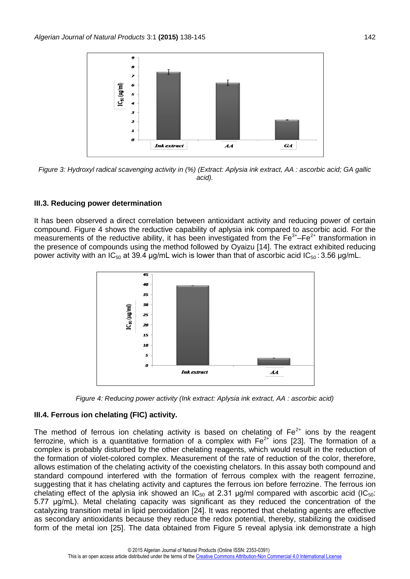

*Figure 3: Hydroxyl radical scavenging activity in (%) (Extract: Aplysia ink extract, AA : ascorbic acid; GA gallic acid).*

#### **III.3. Reducing power determination**

It has been observed a direct correlation between antioxidant activity and reducing power of certain compound. Figure 4 shows the reductive capability of aplysia ink compared to ascorbic acid. For the measurements of the reductive ability, it has been investigated from the  $Fe^{3+} - Fe^{2+}$  transformation in the presence of compounds using the method followed by Oyaizu [14]. The extract exhibited reducing power activity with an IC<sub>50</sub> at 39.4 μg/mL wich is lower than that of ascorbic acid IC<sub>50</sub>: 3.56 μg/mL.





#### **III.4. Ferrous ion chelating (FIC) activity.**

The method of ferrous ion chelating activity is based on chelating of  $Fe<sup>2+</sup>$  ions by the reagent ferrozine, which is a quantitative formation of a complex with  $Fe^{2+}$  ions [23]. The formation of a complex is probably disturbed by the other chelating reagents, which would result in the reduction of the formation of violet-colored complex. Measurement of the rate of reduction of the color, therefore, allows estimation of the chelating activity of the coexisting chelators. In this assay both compound and standard compound interfered with the formation of ferrous complex with the reagent ferrozine, suggesting that it has chelating activity and captures the ferrous ion before ferrozine. The ferrous ion chelating effect of the aplysia ink showed an  $IC_{50}$  at 2.31 µg/ml compared with ascorbic acid (IC<sub>50</sub>: 5.77 μg/mL). Metal chelating capacity was significant as they reduced the concentration of the catalyzing transition metal in lipid peroxidation [24]. It was reported that chelating agents are effective as secondary antioxidants because they reduce the redox potential, thereby, stabilizing the oxidised form of the metal ion [25]. The data obtained from Figure 5 reveal aplysia ink demonstrate a high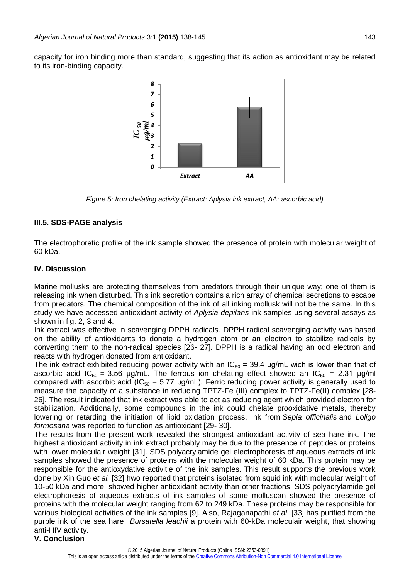capacity for iron binding more than standard, suggesting that its action as antioxidant may be related to its iron-binding capacity.



*Figure 5: Iron chelating activity (Extract: Aplysia ink extract, AA: ascorbic acid)*

### **III.5. SDS-PAGE analysis**

The electrophoretic profile of the ink sample showed the presence of protein with molecular weight of 60 kDa.

#### **IV. Discussion**

Marine mollusks are protecting themselves from predators through their unique way; one of them is releasing ink when disturbed. This ink secretion contains a rich array of chemical secretions to escape from predators. The chemical composition of the ink of all inking mollusk will not be the same. In this study we have accessed antioxidant activity of *Aplysia depilans* ink samples using several assays as shown in fig. 2, 3 and 4.

Ink extract was effective in scavenging DPPH radicals. DPPH radical scavenging activity was based on the ability of antioxidants to donate a hydrogen atom or an electron to stabilize radicals by converting them to the non-radical species [26- 27]. DPPH is a radical having an odd electron and reacts with hydrogen donated from antioxidant.

The ink extract exhibited reducing power activity with an  $IC_{50} = 39.4$  µg/mL wich is lower than that of ascorbic acid IC<sub>50</sub> = 3.56 μg/mL. The ferrous ion chelating effect showed an IC<sub>50</sub> = 2.31 μg/ml compared with ascorbic acid ( $IC_{50}$  = 5.77  $\mu$ g/mL). Ferric reducing power activity is generally used to measure the capacity of a substance in reducing TPTZ-Fe (III) complex to TPTZ-Fe(II) complex [28- 26]. The result indicated that ink extract was able to act as reducing agent which provided electron for stabilization. Additionally, some compounds in the ink could chelate prooxidative metals, thereby lowering or retarding the initiation of lipid oxidation process. Ink from *Sepia officinalis* and *Loligo formosana* was reported to function as antioxidant [29- 30].

The results from the present work revealed the strongest antioxidant activity of sea hare ink. The highest antioxidant activity in ink extract probably may be due to the presence of peptides or proteins with lower moleculair weight [31]. SDS polyacrylamide gel electrophoresis of aqueous extracts of ink samples showed the presence of proteins with the molecular weight of 60 kDa. This protein may be responsible for the antioxydative activitie of the ink samples. This result supports the previous work done by Xin Guo *et al.* [32] hwo reported that proteins isolated from squid ink with molecular weight of 10-50 kDa and more, showed higher antioxidant activity than other fractions. SDS polyacrylamide gel electrophoresis of aqueous extracts of ink samples of some molluscan showed the presence of proteins with the molecular weight ranging from 62 to 249 kDa. These proteins may be responsible for various biological activities of the ink samples [9]. Also, Rajaganapathi *et al*, [33] has purified from the purple ink of the sea hare *Bursatella leachii* a protein with 60-kDa moleculair weight, that showing anti-HIV activity.

**V. Conclusion**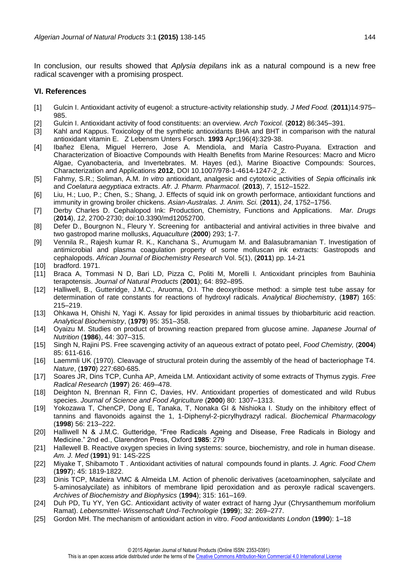In conclusion, our results showed that *Aplysia depilans* ink as a natural compound is a new free radical scavenger with a promising prospect.

#### **VI. References**

- [1] Gulcin I. Antioxidant activity of eugenol: a structure-activity relationship study. *J Med Food.* (**2011**)14:975– 985.
- [2] Gulcin I. Antioxidant activity of food constituents: an overview. *Arch Toxicol.* (**2012**) 86:345–391.
- [3] Kahl and Kappus. Toxicology of the synthetic antioxidants BHA and BHT in comparison with the natural antioxidant vitamin E. Z Lebensm Unters Forsch. **1993** Apr;196(4):329-38.
- [4] Ibañez Elena, Miguel Herrero, Jose A. Mendiola, and María Castro-Puyana. Extraction and Characterization of Bioactive Compounds with Health Benefits from Marine Resources: Macro and Micro Algae, Cyanobacteria, and Invertebrates. M. Hayes (ed.), Marine Bioactive Compounds: Sources, Characterization and Applications **2012**, DOI 10.1007/978-1-4614-1247-2\_2.
- [5] Fahmy, S.R.; Soliman, A.M. *In vitro* antioxidant, analgesic and cytotoxic activities of *Sepia officinalis* ink and *Coelatura aegyptiaca* extracts. *Afr. J. Pharm. Pharmacol.* (**2013**), *7*, 1512–1522.
- [6] Liu, H.; Luo, P.; Chen, S.; Shang, J. Effects of squid ink on growth performace, antioxidant functions and immunity in growing broiler chickens. *Asian-Australas. J. Anim. Sci.* (**2011**), *24*, 1752–1756.
- [7] Derby Charles D. Cephalopod Ink: Production, Chemistry, Functions and Applications. *Mar. Drugs* (**2014**), *12*, 2700-2730; doi:10.3390/md12052700.
- [8] Defer D., Bourgnon N., Fleury Y. Screening for antibacterial and antiviral activities in three bivalve and two gastropod marine mollusks, *Aquaculture* (**2000**) 293; 1-7.
- [9] Vennila R., Rajesh kumar R. K., Kanchana S., Arumugam M. and Balasubramanian T. Investigation of antimicrobial and plasma coagulation property of some molluscan ink extracts: Gastropods and cephalopods. *African Journal of Biochemistry Research* Vol. 5(1), (**2011**) pp. 14-21
- [10] bradford. 1971.
- [11] Braca A, Tommasi N D, Bari LD, Pizza C, Politi M, Morelli I. Antioxidant principles from Bauhinia terapotensis. *Journal of Natural Products* (**2001**); 64: 892–895.
- [12] Halliwell, B., Gutteridge, J.M.C., Aruoma, O.I. The deoxyribose method: a simple test tube assay for determination of rate constants for reactions of hydroxyl radicals. *Analytical Biochemistry*, (**1987**) 165: 215–219.
- [13] Ohkawa H, Ohishi N, Yagi K. Assay for lipid peroxides in animal tissues by thiobarbituric acid reaction. *Analytical Biochemistry*, (**1979**) 95: 351–358.
- [14] Oyaizu M. Studies on product of browning reaction prepared from glucose amine. *Japanese Journal of Nutrition* (**1986**), 44: 307–315.
- [15] Singh N, Rajini PS. Free scavenging activity of an aqueous extract of potato peel, *Food Chemistry,* (**2004**) 85: 611-616.
- [16] Laemmli UK (1970). Cleavage of structural protein during the assembly of the head of bacteriophage T4. *Nature*, (**1970**) 227:680-685.
- [17] Soares JR, Dins TCP, Cunha AP, Ameida LM. Antioxidant activity of some extracts of Thymus zygis. *Free Radical Research* (**1997**) 26: 469–478.
- [18] Deighton N, Brennan R, Finn C, Davies, HV. Antioxidant properties of domesticated and wild Rubus species. *Journal of Science and Food Agriculture* (**2000**) 80: 1307–1313.
- [19] Yokozawa T, ChenCP, Dong E, Tanaka, T, Nonaka GI & Nishioka I. Study on the inhibitory effect of tannins and flavonoids against the 1, 1-Diphenyl-2-picrylhydrazyl radical. *Biochemical Pharmacology*  (**1998**) 56: 213–222.
- [20] Halliwell N & J.M.C. Gutteridge, "Free Radicals Ageing and Disease, Free Radicals in Biology and Medicine." 2nd ed., Clarendron Press, Oxford **1985**: 279
- [21] Hallewell B. Reactive oxygen species in living systems: source, biochemistry, and role in human disease. *Am. J. Med* (**1991**) 91: 14S-22S
- [22] Miyake T, Shibamoto T . Antioxidant activities of natural compounds found in plants. *J. Agric. Food Chem* (**1997**); 45: 1819-1822.
- [23] Dinis TCP, Madeira VMC & Almeida LM. Action of phenolic derivatives (acetoaminophen, salycilate and 5-aminosalycilate) as inhibitors of membrane lipid peroxidation and as peroxyle radical scavengers. *Archives of Biochemistry and Biophysics* (**1994**); 315: 161–169.
- [24] Duh PD, Tu YY, Yen GC. Antioxidant activity of water extract of harng Jyur (Chrysanthemum morifolium Ramat). *Lebensmittel- Wissenschaft Und-Technologie* (**1999**); 32: 269–277.
- [25] Gordon MH. The mechanism of antioxidant action in vitro. *Food antioxidants London* (**1990**): 1–18